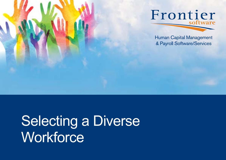

Selecting a Diverse **Workforce**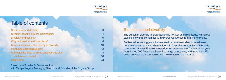| <b>Studies support diversity</b>             |    |
|----------------------------------------------|----|
|                                              |    |
| Diversity benefits are not just financial    |    |
| <b>Diversity and seniority</b>               |    |
| Why is diversity hard to achieve?            | 8  |
| Unconscious bias. The enemy of diversity     | 10 |
| <b>Managing unconscious bias</b>             | 12 |
| Use objective data to trump unconscious bias | 14 |
| The interview minefield                      | 18 |
| <b>Conclusion</b>                            | 23 |



## Table of contents

### Studies support diversity

The pursuit of diversity in organisations is not just an ethical issue. Numerous studies show that companies with diverse workforces return higher profits.

Further evidence suggests that women in executive or director-level roles generate better returns to shareholders. In Australia, companies with boards comprising at least 25% women performed an average of 2% better per year than the top 200 Australian Stock Exchange companies, and more than 7% better per year than companies with no women on their boards.



Human Capital Managemen & Payroll Software/Services



Based on a Frontier Software webinar with Martyn Rogers, Managing Director and Founder of the Rogers Group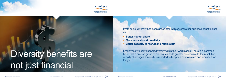



Diversity benefits are not just financial

Profit aside, diversity has been associated with several other business benefits such as:

- **• Better market share**
- **• More innovation & creativity**
- **• Better capacity to recruit and retain staff.**

Employees typically support diversity within their workplaces. There is a common belief that a diverse group of colleagues adds greater perspective to the resolution of daily challenges. Diversity is reported to keep teams motivated and focussed for longer.

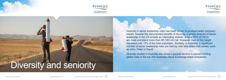



Diversity in senior leadership roles has been shown to produce better company results. Despite the documented benefits of diversity, a simple analysis of senior leadership in the US reveals an interesting statistic; around 60% of CEOs are male and stand more than 6ft (183 cm) tall. However, men of this height represent only 15% of the total population. Similarly, in Australia, a significant number of senior leadership roles are held by men who share first names, such as John, Peter or David.

Diversity studies in Australia also show a general decline in women holding senior roles in the top 200 Australian Stock Exchange listed companies.

## Diversity and seniority



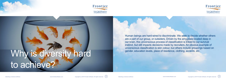Human beings are hard-wired to discriminate. We seek to decide whether others are a part of our group, or outsiders. Driven by the amygdala located deep in our brain, this unconscious process of classification is linked to our survival instinct, but still impacts decisions made by recruiters. An obvious example of unconscious classification is skin colour, but others include groupings based on



Human Capital Management & Payroll Software/Services







# Why is diversity hard sender, education levels, place of residence, clothing, accents, etc. to achieve?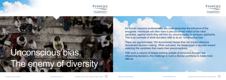As human resource professionals you must remember the influence of the amygdala. Individuals will often have a pre-conceived notion of the ideal candidate, against which they will then try, unconsciously, to compare applicants. This is an example of what recruiters refer to as an "unconscious bias".

There are approximately 100 documented biases that can impact objective recruitment decision making. When activated, the biases push a recruiter toward selecting the candidate that meets their preconceptions.

With such a volume of biases working outside of conscious thought, but influencing decisions, the challenge to build a diverse workforce is made more difficult.



Human Capital Managemer & Payroll Software/Services







Unconscious bias.

The enemy of diversity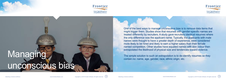One of the best ways to manage unconscious bias is to remove data items that might trigger them. Studies show that resumes with gender-specific names are treated differently by recruiters. A study gave recruiters identical resumes where the only difference was the applicant name. Typically, the applicants with male names were thought to have a greater depth of experience, were considered more likely to be hired and likely to earn a higher salary than their female named competition. Other studies have equated names with skin colour then extrapolated the likelihood of physical size and tendencies toward violence.

**IDEADMETER** 



Human Capital Managemer & Payroll Software/Services





# The simple solution to such an extrapolation is to de-identify resumes so they contain no: name, age, gender, race, ethnic origin, etc. unconscious bias

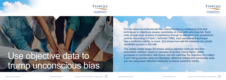Human resource professionals can overcome bias by employing tools and techniques to objectively assess candidates on their skills and potential. Such tools include basic reviews of experience through to interviews and assessment centres. According to Frank L Schimdt (1998), each assessment technique has a predictive validity, or score, that shows how well the measure can predict candidate success in the role.





E Objective data to and the processes in combination with former tool will maximise the objective data to you are using fewer effective measures to ensure predictive validity. trump unconscious bias

The validity ladder (page 24) shows various selection methods and their associated validities, based on decades of studies. Using higher validity processes in combination with former tool will maximise the objective information.



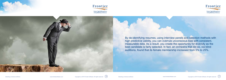









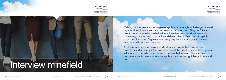## Interview minefield



Human Capital Manageme & Payroll Software/Services





Relying on interviews alone to assess applicants is fraught with danger. In most organisations, interviewers are untrained and unprepared. They don't know how to conduct an effective behavioural interview and they don't use added measures, such as testing, to rank candidates. Hence, they are susceptible to unconscious bias. Organisations rarely require line managers to develop interview skills as a competency.

Applicants can access many websites that can coach them on interview questions and answers. Other websites reveal the questions specific employers will ask which permits the applicant to prepare beforehand. The interview becomes a performance where the applicant knows the right things to say and do.

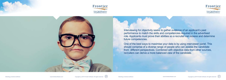







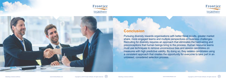







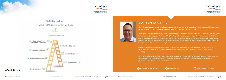### MARTYN ROGERS

Martyn Rogers has been employed in Senior Leadership roles at a number of international companies since 1984, culminating in his appointment as National Sales & Marketing Manager for Bell South Australia in 1990.

The Rogers Group was formed In May 1991, upon securing the Australian distribution rights for The McQuaig System™, (which he had used continuously as a client since 1985).The Rogers Group focuses on hiring strategy and management techniques as its principal lines of business. Having started virtually from nothing, the company's extensive client list now includes many blue-chip national organisations such as Kellogg, Campbell Arnotts, A & G Insurance, CSR, Mantra Group, AP Eagers Group, Veolia,Glencore, Raine & Horne and many local government bodies.

Amongst Martyn's many areas of expertise he specialises in behavioural issues in the workplace and understanding personalities. His subject areas range from recruitment and selection, through management of staff and teams, to senior leadership.

Martyn is a Fellow of the Institute of Sales & Marketing Management, an internationalorganisation for senior sales managers, and a Fellow of the Australian Institute of Management, for whom he additionally acts as consultant and supplier of psychometric assessment and development services.

**@** info@rogersgroup.com.au and @MartynRogers and @MartynRogers and @MartynRogers and @MartynRogers and @MartynRogers













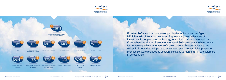